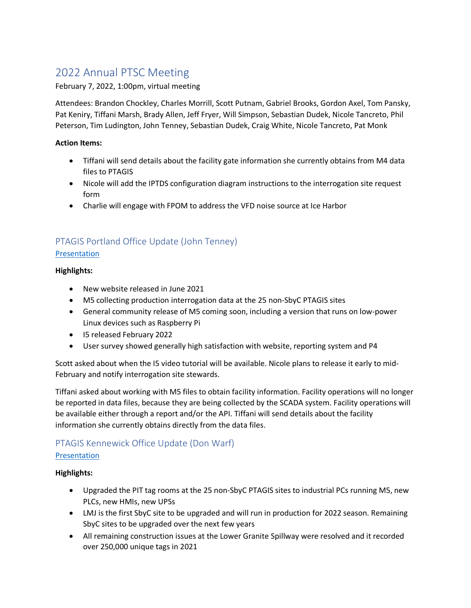# 2022 Annual PTSC Meeting

### February 7, 2022, 1:00pm, virtual meeting

Attendees: Brandon Chockley, Charles Morrill, Scott Putnam, Gabriel Brooks, Gordon Axel, Tom Pansky, Pat Keniry, Tiffani Marsh, Brady Allen, Jeff Fryer, Will Simpson, Sebastian Dudek, Nicole Tancreto, Phil Peterson, Tim Ludington, John Tenney, Sebastian Dudek, Craig White, Nicole Tancreto, Pat Monk

### **Action Items:**

- Tiffani will send details about the facility gate information she currently obtains from M4 data files to PTAGIS
- Nicole will add the IPTDS configuration diagram instructions to the interrogation site request form
- Charlie will engage with FPOM to address the VFD noise source at Ice Harbor

# PTAGIS Portland Office Update (John Tenney)

#### **[Presentation](https://www.ptagis.org/content/documents/Portland_PTSC_2022_02_07.pdf)**

### **Highlights:**

- New website released in June 2021
- M5 collecting production interrogation data at the 25 non-SbyC PTAGIS sites
- General community release of M5 coming soon, including a version that runs on low-power Linux devices such as Raspberry Pi
- I5 released February 2022
- User survey showed generally high satisfaction with website, reporting system and P4

Scott asked about when the I5 video tutorial will be available. Nicole plans to release it early to mid-February and notify interrogation site stewards.

Tiffani asked about working with M5 files to obtain facility information. Facility operations will no longer be reported in data files, because they are being collected by the SCADA system. Facility operations will be available either through a report and/or the API. Tiffani will send details about the facility information she currently obtains directly from the data files.

### PTAGIS Kennewick Office Update (Don Warf) **[Presentation](https://www.ptagis.org/content/documents/Kennewick_PTSC_2022_02_07.pdf)**

# **Highlights:**

- Upgraded the PIT tag rooms at the 25 non-SbyC PTAGIS sites to industrial PCs running M5, new PLCs, new HMIs, new UPSs
	- LMJ is the first SbyC site to be upgraded and will run in production for 2022 season. Remaining SbyC sites to be upgraded over the next few years
	- All remaining construction issues at the Lower Granite Spillway were resolved and it recorded over 250,000 unique tags in 2021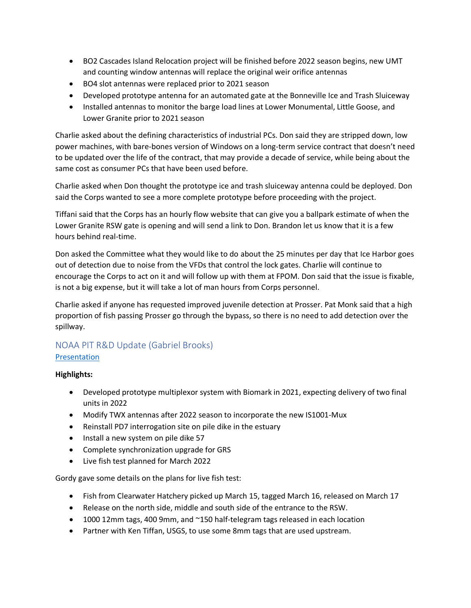- BO2 Cascades Island Relocation project will be finished before 2022 season begins, new UMT and counting window antennas will replace the original weir orifice antennas
- BO4 slot antennas were replaced prior to 2021 season
- Developed prototype antenna for an automated gate at the Bonneville Ice and Trash Sluiceway
- Installed antennas to monitor the barge load lines at Lower Monumental, Little Goose, and Lower Granite prior to 2021 season

Charlie asked about the defining characteristics of industrial PCs. Don said they are stripped down, low power machines, with bare-bones version of Windows on a long-term service contract that doesn't need to be updated over the life of the contract, that may provide a decade of service, while being about the same cost as consumer PCs that have been used before.

Charlie asked when Don thought the prototype ice and trash sluiceway antenna could be deployed. Don said the Corps wanted to see a more complete prototype before proceeding with the project.

Tiffani said that the Corps has an hourly flow website that can give you a ballpark estimate of when the Lower Granite RSW gate is opening and will send a link to Don. Brandon let us know that it is a few hours behind real-time.

Don asked the Committee what they would like to do about the 25 minutes per day that Ice Harbor goes out of detection due to noise from the VFDs that control the lock gates. Charlie will continue to encourage the Corps to act on it and will follow up with them at FPOM. Don said that the issue is fixable, is not a big expense, but it will take a lot of man hours from Corps personnel.

Charlie asked if anyone has requested improved juvenile detection at Prosser. Pat Monk said that a high proportion of fish passing Prosser go through the bypass, so there is no need to add detection over the spillway.

## NOAA PIT R&D Update (Gabriel Brooks) **[Presentation](https://www.ptagis.org/content/documents/NOAA_PTSC_2022_02_07.pdf)**

### **Highlights:**

- Developed prototype multiplexor system with Biomark in 2021, expecting delivery of two final units in 2022
- Modify TWX antennas after 2022 season to incorporate the new IS1001-Mux
- Reinstall PD7 interrogation site on pile dike in the estuary
- Install a new system on pile dike 57
- Complete synchronization upgrade for GRS
- Live fish test planned for March 2022

Gordy gave some details on the plans for live fish test:

- Fish from Clearwater Hatchery picked up March 15, tagged March 16, released on March 17
- Release on the north side, middle and south side of the entrance to the RSW.
- 1000 12mm tags, 400 9mm, and ~150 half-telegram tags released in each location
- Partner with Ken Tiffan, USGS, to use some 8mm tags that are used upstream.